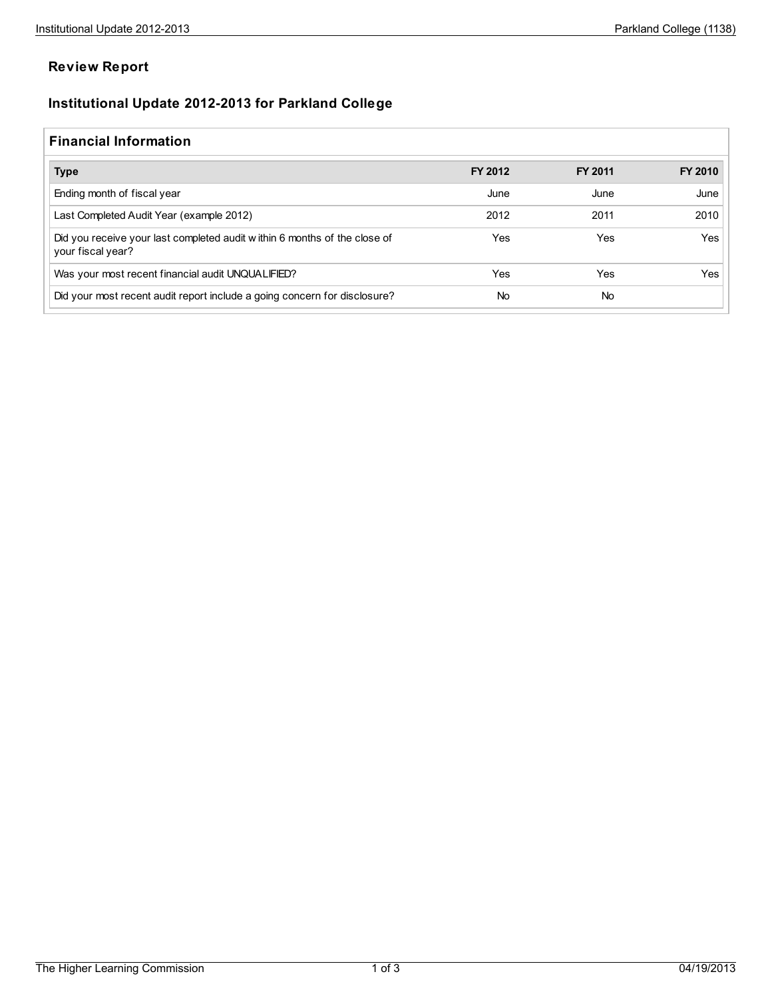## **Review Report**

## **Institutional Update 2012-2013 for Parkland College**

## **Financial Information**

| <b>Type</b>                                                                                    | FY 2012 | FY 2011   | FY 2010 |
|------------------------------------------------------------------------------------------------|---------|-----------|---------|
| Ending month of fiscal year                                                                    | June    | June      | June    |
| Last Completed Audit Year (example 2012)                                                       | 2012    | 2011      | 2010    |
| Did you receive your last completed audit within 6 months of the close of<br>your fiscal year? | Yes     | Yes       | Yes     |
| Was your most recent financial audit UNQUALIFIED?                                              | Yes     | Yes       | Yes     |
| Did your most recent audit report include a going concern for disclosure?                      | No      | <b>No</b> |         |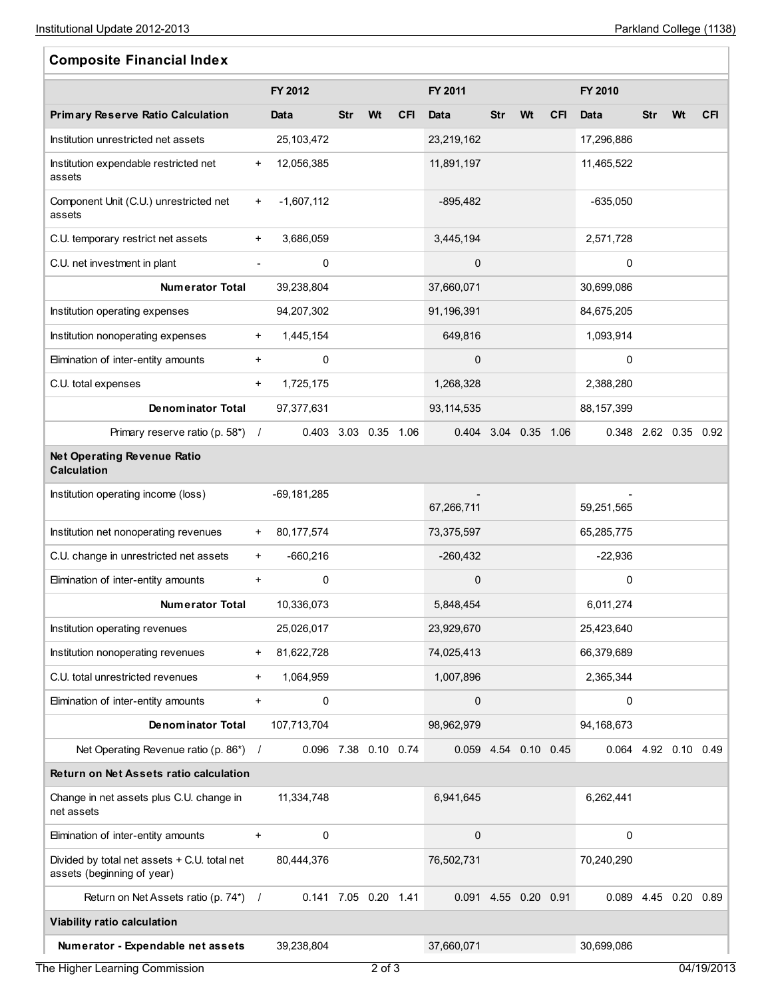$\mathbb{F}$ 

| <b>Composite Financial Index</b>                                           |                          |                      |     |    |            |                      |            |    |            |                      |            |           |            |
|----------------------------------------------------------------------------|--------------------------|----------------------|-----|----|------------|----------------------|------------|----|------------|----------------------|------------|-----------|------------|
|                                                                            |                          | FY 2012              |     |    |            | FY 2011              |            |    |            | FY 2010              |            |           |            |
| <b>Primary Reserve Ratio Calculation</b>                                   |                          | Data                 | Str | Wt | <b>CFI</b> | Data                 | <b>Str</b> | Wt | <b>CFI</b> | Data                 | <b>Str</b> | Wt        | <b>CFI</b> |
| Institution unrestricted net assets                                        |                          | 25,103,472           |     |    |            | 23,219,162           |            |    |            | 17,296,886           |            |           |            |
| Institution expendable restricted net<br>assets                            | $\ddot{}$                | 12,056,385           |     |    |            | 11,891,197           |            |    |            | 11,465,522           |            |           |            |
| Component Unit (C.U.) unrestricted net<br>assets                           | $\ddot{}$                | $-1,607,112$         |     |    |            | $-895,482$           |            |    |            | $-635,050$           |            |           |            |
| C.U. temporary restrict net assets                                         | $+$                      | 3,686,059            |     |    |            | 3,445,194            |            |    |            | 2,571,728            |            |           |            |
| C.U. net investment in plant                                               | $\overline{\phantom{a}}$ | 0                    |     |    |            | $\mathbf 0$          |            |    |            | 0                    |            |           |            |
| <b>Numerator Total</b>                                                     |                          | 39,238,804           |     |    |            | 37,660,071           |            |    |            | 30,699,086           |            |           |            |
| Institution operating expenses                                             |                          | 94,207,302           |     |    |            | 91,196,391           |            |    |            | 84,675,205           |            |           |            |
| Institution nonoperating expenses                                          | $\ddot{}$                | 1,445,154            |     |    |            | 649,816              |            |    |            | 1,093,914            |            |           |            |
| Elimination of inter-entity amounts                                        | $+$                      | 0                    |     |    |            | 0                    |            |    |            | 0                    |            |           |            |
| C.U. total expenses                                                        | $+$                      | 1,725,175            |     |    |            | 1,268,328            |            |    |            | 2,388,280            |            |           |            |
| <b>Denominator Total</b>                                                   |                          | 97,377,631           |     |    |            | 93, 114, 535         |            |    |            | 88,157,399           |            |           |            |
| Primary reserve ratio (p. $58^*$ ) /                                       |                          | 0.403 3.03 0.35 1.06 |     |    |            | 0.404 3.04 0.35 1.06 |            |    |            | 0.348 2.62 0.35 0.92 |            |           |            |
| Net Operating Revenue Ratio<br><b>Calculation</b>                          |                          |                      |     |    |            |                      |            |    |            |                      |            |           |            |
| Institution operating income (loss)                                        |                          | $-69, 181, 285$      |     |    |            | 67,266,711           |            |    |            | 59,251,565           |            |           |            |
| Institution net nonoperating revenues                                      | $\ddot{}$                | 80,177,574           |     |    |            | 73,375,597           |            |    |            | 65,285,775           |            |           |            |
| C.U. change in unrestricted net assets                                     | $+$                      | $-660,216$           |     |    |            | $-260,432$           |            |    |            | $-22,936$            |            |           |            |
| Elimination of inter-entity amounts                                        | $\ddot{}$                | 0                    |     |    |            | $\mathbf 0$          |            |    |            | 0                    |            |           |            |
| <b>Numerator Total</b>                                                     |                          | 10,336,073           |     |    |            | 5,848,454            |            |    |            | 6,011,274            |            |           |            |
| Institution operating revenues                                             |                          | 25,026,017           |     |    |            | 23,929,670           |            |    |            | 25,423,640           |            |           |            |
| Institution nonoperating revenues                                          | $\ddot{}$                | 81,622,728           |     |    |            | 74,025,413           |            |    |            | 66,379,689           |            |           |            |
| C.U. total unrestricted revenues                                           | $\ddot{}$                | 1,064,959            |     |    |            | 1,007,896            |            |    |            | 2,365,344            |            |           |            |
| Elimination of inter-entity amounts                                        | $\boldsymbol{+}$         | 0                    |     |    |            | 0                    |            |    |            | 0                    |            |           |            |
| <b>Denominator Total</b>                                                   |                          | 107,713,704          |     |    |            | 98,962,979           |            |    |            | 94,168,673           |            |           |            |
| Net Operating Revenue ratio (p. 86*) /                                     |                          | 0.096 7.38 0.10 0.74 |     |    |            | 0.059 4.54 0.10 0.45 |            |    |            | 0.064 4.92 0.10 0.49 |            |           |            |
| Return on Net Assets ratio calculation                                     |                          |                      |     |    |            |                      |            |    |            |                      |            |           |            |
| Change in net assets plus C.U. change in<br>net assets                     |                          | 11,334,748           |     |    |            | 6,941,645            |            |    |            | 6,262,441            |            |           |            |
| Elimination of inter-entity amounts                                        | $\boldsymbol{+}$         | 0                    |     |    |            | 0                    |            |    |            | 0                    |            |           |            |
| Divided by total net assets + C.U. total net<br>assets (beginning of year) |                          | 80,444,376           |     |    |            | 76,502,731           |            |    |            | 70,240,290           |            |           |            |
| Return on Net Assets ratio (p. 74*)                                        | $\sqrt{ }$               | 0.141 7.05 0.20 1.41 |     |    |            | 0.091 4.55 0.20 0.91 |            |    |            | 0.089                |            | 4.45 0.20 | 0.89       |
| Viability ratio calculation                                                |                          |                      |     |    |            |                      |            |    |            |                      |            |           |            |
| Numerator - Expendable net assets                                          |                          | 39,238,804           |     |    |            | 37,660,071           |            |    |            | 30,699,086           |            |           |            |